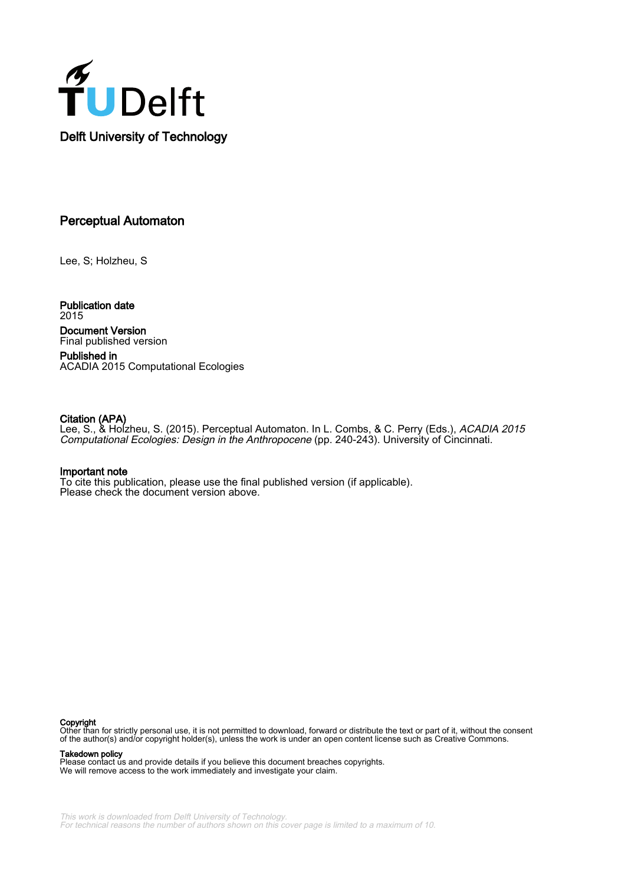

# Perceptual Automaton

Lee, S; Holzheu, S

Publication date 2015 Document Version Final published version

Published in ACADIA 2015 Computational Ecologies

# Citation (APA)

Lee, S., & Holzheu, S. (2015). Perceptual Automaton. In L. Combs, & C. Perry (Eds.), *ACADIA 2015* Computational Ecologies: Design in the Anthropocene (pp. 240-243). University of Cincinnati.

# Important note

To cite this publication, please use the final published version (if applicable). Please check the document version above.

## Copyright

Other than for strictly personal use, it is not permitted to download, forward or distribute the text or part of it, without the consent of the author(s) and/or copyright holder(s), unless the work is under an open content license such as Creative Commons.

Takedown policy

Please contact us and provide details if you believe this document breaches copyrights. We will remove access to the work immediately and investigate your claim.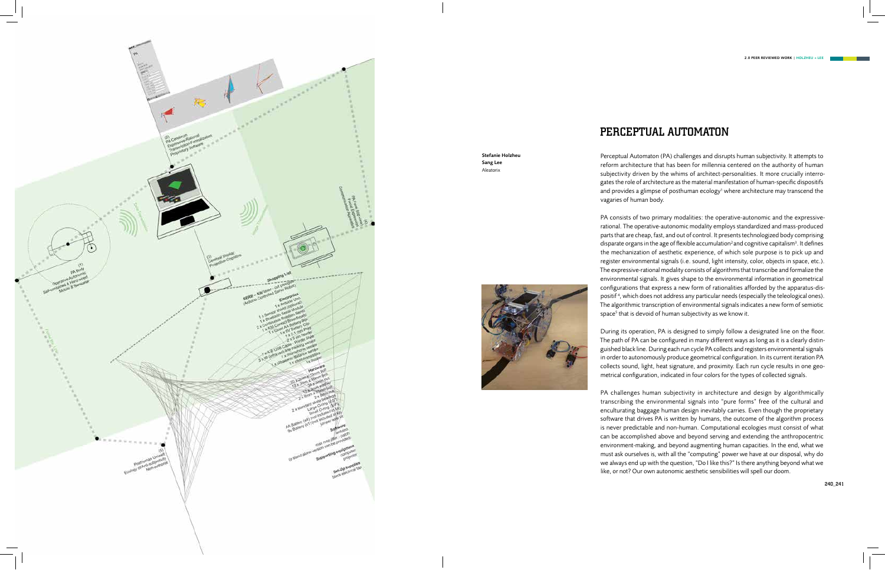# PERCEPTUAL AUTOMATON

PA consists of two primary modalities: the operative-autonomic and the expressiverational. The operative-autonomic modality employs standardized and mass-produced parts that are cheap, fast, and out of control. It presents technologized body comprising disparate organs in the age of flexible accumulation<sup>2</sup> and cognitive capitalism<sup>3</sup>. It defines the mechanization of aesthetic experience, of which sole purpose is to pick up and register environmental signals (i.e. sound, light intensity, color, objects in space, etc.). The expressive-rational modality consists of algorithms that transcribe and formalize the environmental signals. It gives shape to the environmental information in geometrical configurations that express a new form of rationalities afforded by the apparatus-dispositif 4 , which does not address any particular needs (especially the teleological ones). The algorithmic transcription of environmental signals indicates a new form of semiotic space<sup>5</sup> that is devoid of human subjectivity as we know it.

Perceptual Automaton (PA) challenges and disrupts human subjectivity. It attempts to reform architecture that has been for millennia centered on the authority of human subjectivity driven by the whims of architect-personalities. It more crucially interrogates the role of architecture as the material manifestation of human-specific dispositifs and provides a glimpse of posthuman ecology<sup>1</sup> where architecture may transcend the vagaries of human body.

During its operation, PA is designed to simply follow a designated line on the floor. The path of PA can be configured in many different ways as long as it is a clearly distinguished black line. During each run cycle PA collects and registers environmental signals in order to autonomously produce geometrical configuration. In its current iteration PA collects sound, light, heat signature, and proximity. Each run cycle results in one geometrical configuration, indicated in four colors for the types of collected signals.

PA challenges human subjectivity in architecture and design by algorithmically transcribing the environmental signals into "pure forms" free of the cultural and enculturating baggage human design inevitably carries. Even though the proprietary software that drives PA is written by humans, the outcome of the algorithm process is never predictable and non-human. Computational ecologies must consist of what can be accomplished above and beyond serving and extending the anthropocentric environment-making, and beyond augmenting human capacities. In the end, what we must ask ourselves is, with all the "computing" power we have at our disposal, why do we always end up with the question, "Do I like this?" Is there anything beyond what we like, or not? Our own autonomic aesthetic sensibilities will spell our doom.



## Stefanie Holzheu Sang Lee Aleatorix



240\_241